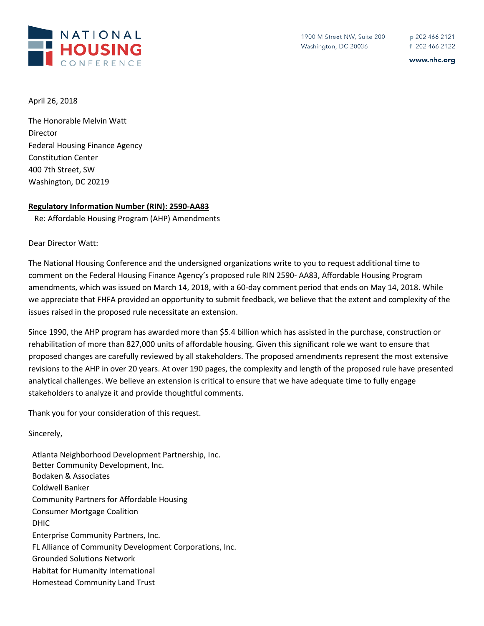

www.nhc.org

April 26, 2018

The Honorable Melvin Watt Director Federal Housing Finance Agency Constitution Center 400 7th Street, SW Washington, DC 20219

## **Regulatory Information Number (RIN): 2590-AA83**

Re: Affordable Housing Program (AHP) Amendments

Dear Director Watt:

The National Housing Conference and the undersigned organizations write to you to request additional time to comment on the Federal Housing Finance Agency's proposed rule RIN 2590- AA83, Affordable Housing Program amendments, which was issued on March 14, 2018, with a 60-day comment period that ends on May 14, 2018. While we appreciate that FHFA provided an opportunity to submit feedback, we believe that the extent and complexity of the issues raised in the proposed rule necessitate an extension.

Since 1990, the AHP program has awarded more than \$5.4 billion which has assisted in the purchase, construction or rehabilitation of more than 827,000 units of affordable housing. Given this significant role we want to ensure that proposed changes are carefully reviewed by all stakeholders. The proposed amendments represent the most extensive revisions to the AHP in over 20 years. At over 190 pages, the complexity and length of the proposed rule have presented analytical challenges. We believe an extension is critical to ensure that we have adequate time to fully engage stakeholders to analyze it and provide thoughtful comments.

Thank you for your consideration of this request.

Sincerely,

Atlanta Neighborhood Development Partnership, Inc. Better Community Development, Inc. Bodaken & Associates Coldwell Banker Community Partners for Affordable Housing Consumer Mortgage Coalition DHIC Enterprise Community Partners, Inc. FL Alliance of Community Development Corporations, Inc. Grounded Solutions Network Habitat for Humanity International Homestead Community Land Trust